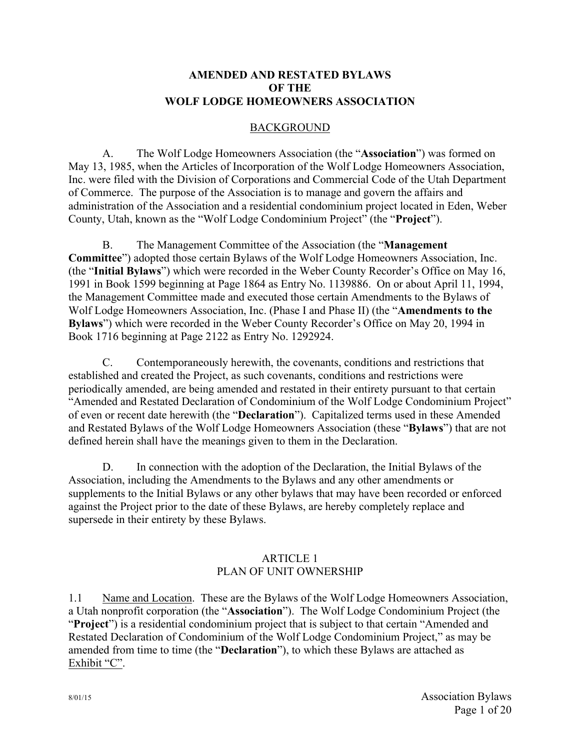### **AMENDED AND RESTATED BYLAWS OF THE WOLF LODGE HOMEOWNERS ASSOCIATION**

## BACKGROUND

A. The Wolf Lodge Homeowners Association (the "**Association**") was formed on May 13, 1985, when the Articles of Incorporation of the Wolf Lodge Homeowners Association, Inc. were filed with the Division of Corporations and Commercial Code of the Utah Department of Commerce. The purpose of the Association is to manage and govern the affairs and administration of the Association and a residential condominium project located in Eden, Weber County, Utah, known as the "Wolf Lodge Condominium Project" (the "**Project**").

B. The Management Committee of the Association (the "**Management Committee**") adopted those certain Bylaws of the Wolf Lodge Homeowners Association, Inc. (the "**Initial Bylaws**") which were recorded in the Weber County Recorder's Office on May 16, 1991 in Book 1599 beginning at Page 1864 as Entry No. 1139886. On or about April 11, 1994, the Management Committee made and executed those certain Amendments to the Bylaws of Wolf Lodge Homeowners Association, Inc. (Phase I and Phase II) (the "**Amendments to the Bylaws**") which were recorded in the Weber County Recorder's Office on May 20, 1994 in Book 1716 beginning at Page 2122 as Entry No. 1292924.

C. Contemporaneously herewith, the covenants, conditions and restrictions that established and created the Project, as such covenants, conditions and restrictions were periodically amended, are being amended and restated in their entirety pursuant to that certain "Amended and Restated Declaration of Condominium of the Wolf Lodge Condominium Project" of even or recent date herewith (the "**Declaration**"). Capitalized terms used in these Amended and Restated Bylaws of the Wolf Lodge Homeowners Association (these "**Bylaws**") that are not defined herein shall have the meanings given to them in the Declaration.

D. In connection with the adoption of the Declaration, the Initial Bylaws of the Association, including the Amendments to the Bylaws and any other amendments or supplements to the Initial Bylaws or any other bylaws that may have been recorded or enforced against the Project prior to the date of these Bylaws, are hereby completely replace and supersede in their entirety by these Bylaws.

### ARTICLE 1 PLAN OF UNIT OWNERSHIP

1.1 Name and Location. These are the Bylaws of the Wolf Lodge Homeowners Association, a Utah nonprofit corporation (the "**Association**"). The Wolf Lodge Condominium Project (the "**Project**") is a residential condominium project that is subject to that certain "Amended and Restated Declaration of Condominium of the Wolf Lodge Condominium Project," as may be amended from time to time (the "**Declaration**"), to which these Bylaws are attached as Exhibit "C".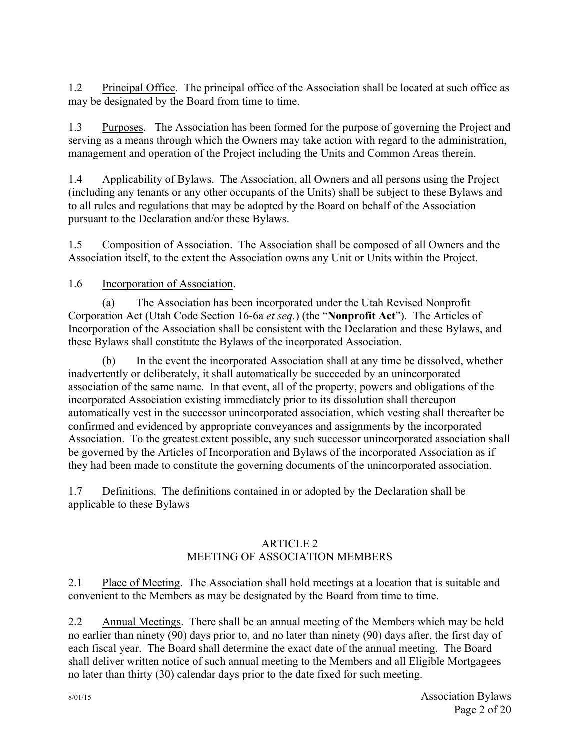1.2 Principal Office. The principal office of the Association shall be located at such office as may be designated by the Board from time to time.

1.3 Purposes. The Association has been formed for the purpose of governing the Project and serving as a means through which the Owners may take action with regard to the administration, management and operation of the Project including the Units and Common Areas therein.

1.4 Applicability of Bylaws. The Association, all Owners and all persons using the Project (including any tenants or any other occupants of the Units) shall be subject to these Bylaws and to all rules and regulations that may be adopted by the Board on behalf of the Association pursuant to the Declaration and/or these Bylaws.

1.5 Composition of Association. The Association shall be composed of all Owners and the Association itself, to the extent the Association owns any Unit or Units within the Project.

## 1.6 Incorporation of Association.

(a) The Association has been incorporated under the Utah Revised Nonprofit Corporation Act (Utah Code Section 16-6a *et seq.*) (the "**Nonprofit Act**"). The Articles of Incorporation of the Association shall be consistent with the Declaration and these Bylaws, and these Bylaws shall constitute the Bylaws of the incorporated Association.

(b) In the event the incorporated Association shall at any time be dissolved, whether inadvertently or deliberately, it shall automatically be succeeded by an unincorporated association of the same name. In that event, all of the property, powers and obligations of the incorporated Association existing immediately prior to its dissolution shall thereupon automatically vest in the successor unincorporated association, which vesting shall thereafter be confirmed and evidenced by appropriate conveyances and assignments by the incorporated Association. To the greatest extent possible, any such successor unincorporated association shall be governed by the Articles of Incorporation and Bylaws of the incorporated Association as if they had been made to constitute the governing documents of the unincorporated association.

1.7 Definitions. The definitions contained in or adopted by the Declaration shall be applicable to these Bylaws

## ARTICLE 2 MEETING OF ASSOCIATION MEMBERS

2.1 Place of Meeting. The Association shall hold meetings at a location that is suitable and convenient to the Members as may be designated by the Board from time to time.

2.2 Annual Meetings. There shall be an annual meeting of the Members which may be held no earlier than ninety (90) days prior to, and no later than ninety (90) days after, the first day of each fiscal year. The Board shall determine the exact date of the annual meeting. The Board shall deliver written notice of such annual meeting to the Members and all Eligible Mortgagees no later than thirty (30) calendar days prior to the date fixed for such meeting.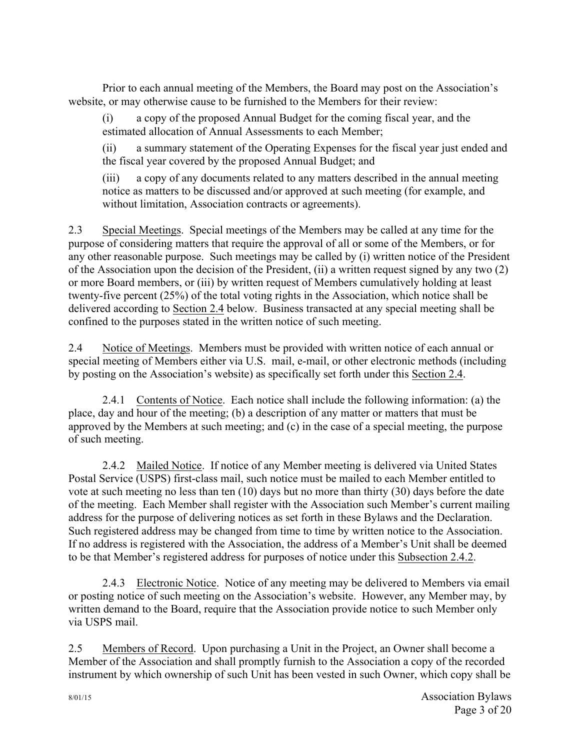Prior to each annual meeting of the Members, the Board may post on the Association's website, or may otherwise cause to be furnished to the Members for their review:

(i) a copy of the proposed Annual Budget for the coming fiscal year, and the estimated allocation of Annual Assessments to each Member;

(ii) a summary statement of the Operating Expenses for the fiscal year just ended and the fiscal year covered by the proposed Annual Budget; and

(iii) a copy of any documents related to any matters described in the annual meeting notice as matters to be discussed and/or approved at such meeting (for example, and without limitation, Association contracts or agreements).

2.3 Special Meetings. Special meetings of the Members may be called at any time for the purpose of considering matters that require the approval of all or some of the Members, or for any other reasonable purpose. Such meetings may be called by (i) written notice of the President of the Association upon the decision of the President, (ii) a written request signed by any two (2) or more Board members, or (iii) by written request of Members cumulatively holding at least twenty-five percent (25%) of the total voting rights in the Association, which notice shall be delivered according to Section 2.4 below. Business transacted at any special meeting shall be confined to the purposes stated in the written notice of such meeting.

2.4 Notice of Meetings. Members must be provided with written notice of each annual or special meeting of Members either via U.S. mail, e-mail, or other electronic methods (including by posting on the Association's website) as specifically set forth under this Section 2.4.

2.4.1 Contents of Notice. Each notice shall include the following information: (a) the place, day and hour of the meeting; (b) a description of any matter or matters that must be approved by the Members at such meeting; and (c) in the case of a special meeting, the purpose of such meeting.

2.4.2 Mailed Notice. If notice of any Member meeting is delivered via United States Postal Service (USPS) first-class mail, such notice must be mailed to each Member entitled to vote at such meeting no less than ten (10) days but no more than thirty (30) days before the date of the meeting. Each Member shall register with the Association such Member's current mailing address for the purpose of delivering notices as set forth in these Bylaws and the Declaration. Such registered address may be changed from time to time by written notice to the Association. If no address is registered with the Association, the address of a Member's Unit shall be deemed to be that Member's registered address for purposes of notice under this Subsection 2.4.2.

2.4.3 Electronic Notice. Notice of any meeting may be delivered to Members via email or posting notice of such meeting on the Association's website. However, any Member may, by written demand to the Board, require that the Association provide notice to such Member only via USPS mail.

2.5 Members of Record. Upon purchasing a Unit in the Project, an Owner shall become a Member of the Association and shall promptly furnish to the Association a copy of the recorded instrument by which ownership of such Unit has been vested in such Owner, which copy shall be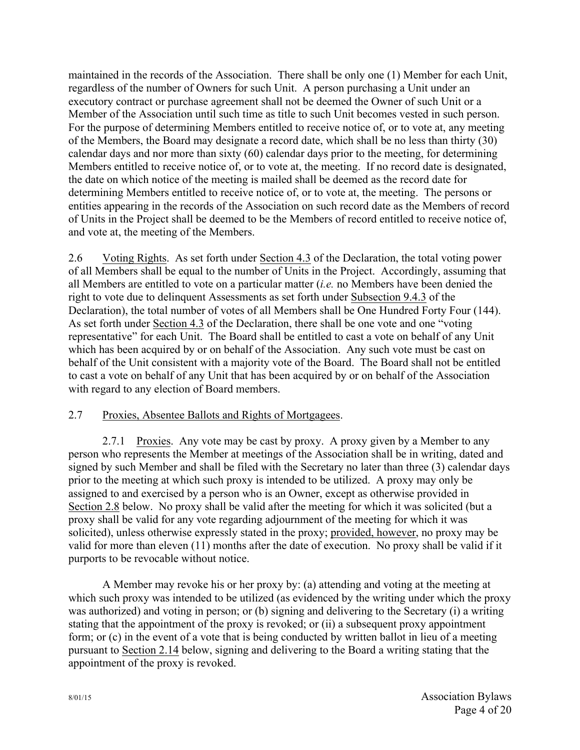maintained in the records of the Association. There shall be only one (1) Member for each Unit, regardless of the number of Owners for such Unit. A person purchasing a Unit under an executory contract or purchase agreement shall not be deemed the Owner of such Unit or a Member of the Association until such time as title to such Unit becomes vested in such person. For the purpose of determining Members entitled to receive notice of, or to vote at, any meeting of the Members, the Board may designate a record date, which shall be no less than thirty (30) calendar days and nor more than sixty (60) calendar days prior to the meeting, for determining Members entitled to receive notice of, or to vote at, the meeting. If no record date is designated, the date on which notice of the meeting is mailed shall be deemed as the record date for determining Members entitled to receive notice of, or to vote at, the meeting. The persons or entities appearing in the records of the Association on such record date as the Members of record of Units in the Project shall be deemed to be the Members of record entitled to receive notice of, and vote at, the meeting of the Members.

2.6 Voting Rights. As set forth under Section 4.3 of the Declaration, the total voting power of all Members shall be equal to the number of Units in the Project. Accordingly, assuming that all Members are entitled to vote on a particular matter (*i.e.* no Members have been denied the right to vote due to delinquent Assessments as set forth under Subsection 9.4.3 of the Declaration), the total number of votes of all Members shall be One Hundred Forty Four (144). As set forth under Section 4.3 of the Declaration, there shall be one vote and one "voting representative" for each Unit. The Board shall be entitled to cast a vote on behalf of any Unit which has been acquired by or on behalf of the Association. Any such vote must be cast on behalf of the Unit consistent with a majority vote of the Board. The Board shall not be entitled to cast a vote on behalf of any Unit that has been acquired by or on behalf of the Association with regard to any election of Board members.

## 2.7 Proxies, Absentee Ballots and Rights of Mortgagees.

2.7.1 Proxies. Any vote may be cast by proxy. A proxy given by a Member to any person who represents the Member at meetings of the Association shall be in writing, dated and signed by such Member and shall be filed with the Secretary no later than three (3) calendar days prior to the meeting at which such proxy is intended to be utilized. A proxy may only be assigned to and exercised by a person who is an Owner, except as otherwise provided in Section 2.8 below. No proxy shall be valid after the meeting for which it was solicited (but a proxy shall be valid for any vote regarding adjournment of the meeting for which it was solicited), unless otherwise expressly stated in the proxy; provided, however, no proxy may be valid for more than eleven (11) months after the date of execution. No proxy shall be valid if it purports to be revocable without notice.

A Member may revoke his or her proxy by: (a) attending and voting at the meeting at which such proxy was intended to be utilized (as evidenced by the writing under which the proxy was authorized) and voting in person; or (b) signing and delivering to the Secretary (i) a writing stating that the appointment of the proxy is revoked; or (ii) a subsequent proxy appointment form; or (c) in the event of a vote that is being conducted by written ballot in lieu of a meeting pursuant to Section 2.14 below, signing and delivering to the Board a writing stating that the appointment of the proxy is revoked.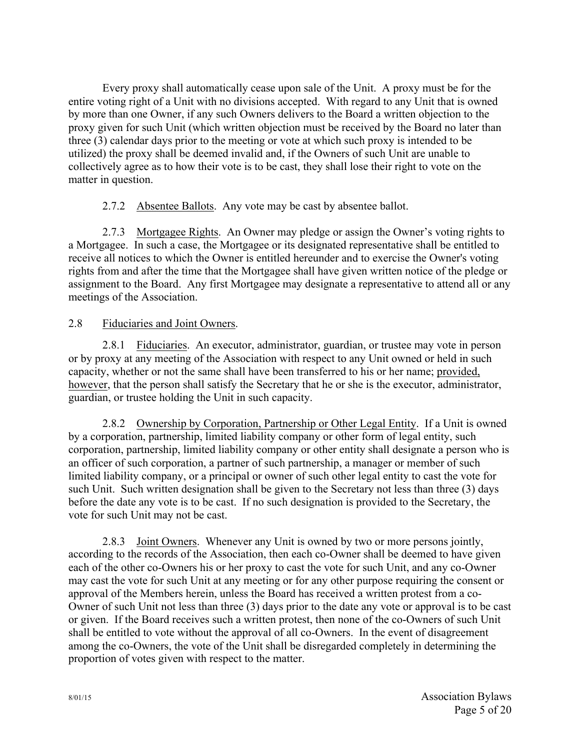Every proxy shall automatically cease upon sale of the Unit. A proxy must be for the entire voting right of a Unit with no divisions accepted. With regard to any Unit that is owned by more than one Owner, if any such Owners delivers to the Board a written objection to the proxy given for such Unit (which written objection must be received by the Board no later than three (3) calendar days prior to the meeting or vote at which such proxy is intended to be utilized) the proxy shall be deemed invalid and, if the Owners of such Unit are unable to collectively agree as to how their vote is to be cast, they shall lose their right to vote on the matter in question.

2.7.2 Absentee Ballots. Any vote may be cast by absentee ballot.

2.7.3 Mortgagee Rights. An Owner may pledge or assign the Owner's voting rights to a Mortgagee. In such a case, the Mortgagee or its designated representative shall be entitled to receive all notices to which the Owner is entitled hereunder and to exercise the Owner's voting rights from and after the time that the Mortgagee shall have given written notice of the pledge or assignment to the Board. Any first Mortgagee may designate a representative to attend all or any meetings of the Association.

## 2.8 Fiduciaries and Joint Owners.

2.8.1 Fiduciaries. An executor, administrator, guardian, or trustee may vote in person or by proxy at any meeting of the Association with respect to any Unit owned or held in such capacity, whether or not the same shall have been transferred to his or her name; provided, however, that the person shall satisfy the Secretary that he or she is the executor, administrator, guardian, or trustee holding the Unit in such capacity.

2.8.2 Ownership by Corporation, Partnership or Other Legal Entity. If a Unit is owned by a corporation, partnership, limited liability company or other form of legal entity, such corporation, partnership, limited liability company or other entity shall designate a person who is an officer of such corporation, a partner of such partnership, a manager or member of such limited liability company, or a principal or owner of such other legal entity to cast the vote for such Unit. Such written designation shall be given to the Secretary not less than three (3) days before the date any vote is to be cast. If no such designation is provided to the Secretary, the vote for such Unit may not be cast.

2.8.3 Joint Owners. Whenever any Unit is owned by two or more persons jointly, according to the records of the Association, then each co-Owner shall be deemed to have given each of the other co-Owners his or her proxy to cast the vote for such Unit, and any co-Owner may cast the vote for such Unit at any meeting or for any other purpose requiring the consent or approval of the Members herein, unless the Board has received a written protest from a co-Owner of such Unit not less than three (3) days prior to the date any vote or approval is to be cast or given. If the Board receives such a written protest, then none of the co-Owners of such Unit shall be entitled to vote without the approval of all co-Owners. In the event of disagreement among the co-Owners, the vote of the Unit shall be disregarded completely in determining the proportion of votes given with respect to the matter.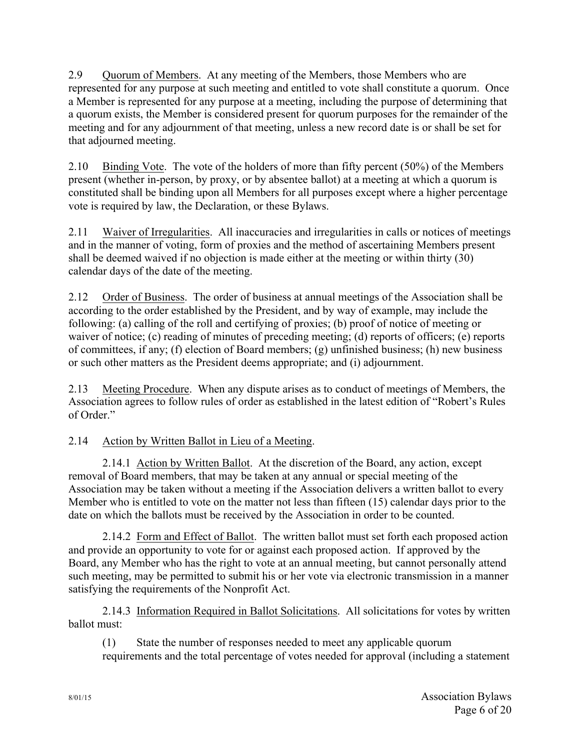2.9 Quorum of Members. At any meeting of the Members, those Members who are represented for any purpose at such meeting and entitled to vote shall constitute a quorum. Once a Member is represented for any purpose at a meeting, including the purpose of determining that a quorum exists, the Member is considered present for quorum purposes for the remainder of the meeting and for any adjournment of that meeting, unless a new record date is or shall be set for that adjourned meeting.

2.10 Binding Vote. The vote of the holders of more than fifty percent (50%) of the Members present (whether in-person, by proxy, or by absentee ballot) at a meeting at which a quorum is constituted shall be binding upon all Members for all purposes except where a higher percentage vote is required by law, the Declaration, or these Bylaws.

2.11 Waiver of Irregularities. All inaccuracies and irregularities in calls or notices of meetings and in the manner of voting, form of proxies and the method of ascertaining Members present shall be deemed waived if no objection is made either at the meeting or within thirty (30) calendar days of the date of the meeting.

2.12 Order of Business. The order of business at annual meetings of the Association shall be according to the order established by the President, and by way of example, may include the following: (a) calling of the roll and certifying of proxies; (b) proof of notice of meeting or waiver of notice; (c) reading of minutes of preceding meeting; (d) reports of officers; (e) reports of committees, if any; (f) election of Board members; (g) unfinished business; (h) new business or such other matters as the President deems appropriate; and (i) adjournment.

2.13 Meeting Procedure. When any dispute arises as to conduct of meetings of Members, the Association agrees to follow rules of order as established in the latest edition of "Robert's Rules of Order."

## 2.14 Action by Written Ballot in Lieu of a Meeting.

2.14.1 Action by Written Ballot. At the discretion of the Board, any action, except removal of Board members, that may be taken at any annual or special meeting of the Association may be taken without a meeting if the Association delivers a written ballot to every Member who is entitled to vote on the matter not less than fifteen (15) calendar days prior to the date on which the ballots must be received by the Association in order to be counted.

2.14.2 Form and Effect of Ballot. The written ballot must set forth each proposed action and provide an opportunity to vote for or against each proposed action. If approved by the Board, any Member who has the right to vote at an annual meeting, but cannot personally attend such meeting, may be permitted to submit his or her vote via electronic transmission in a manner satisfying the requirements of the Nonprofit Act.

2.14.3 Information Required in Ballot Solicitations. All solicitations for votes by written ballot must:

(1) State the number of responses needed to meet any applicable quorum requirements and the total percentage of votes needed for approval (including a statement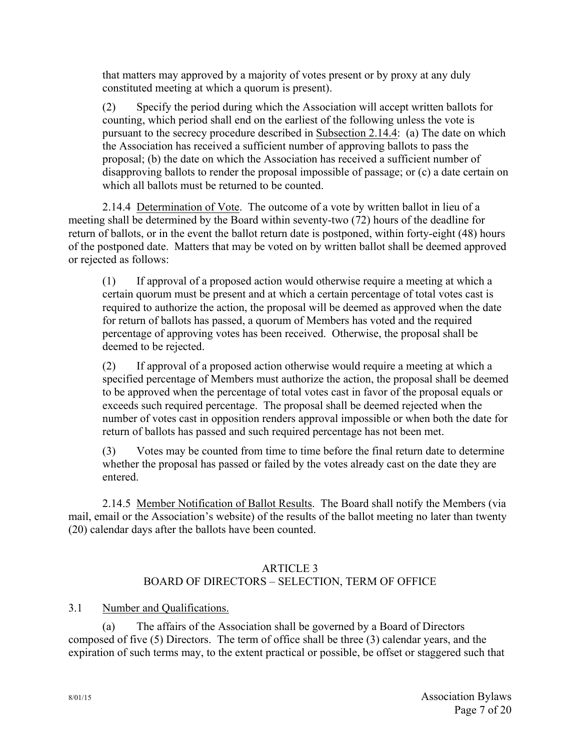that matters may approved by a majority of votes present or by proxy at any duly constituted meeting at which a quorum is present).

(2) Specify the period during which the Association will accept written ballots for counting, which period shall end on the earliest of the following unless the vote is pursuant to the secrecy procedure described in Subsection 2.14.4: (a) The date on which the Association has received a sufficient number of approving ballots to pass the proposal; (b) the date on which the Association has received a sufficient number of disapproving ballots to render the proposal impossible of passage; or (c) a date certain on which all ballots must be returned to be counted.

2.14.4 Determination of Vote. The outcome of a vote by written ballot in lieu of a meeting shall be determined by the Board within seventy-two (72) hours of the deadline for return of ballots, or in the event the ballot return date is postponed, within forty-eight (48) hours of the postponed date. Matters that may be voted on by written ballot shall be deemed approved or rejected as follows:

(1) If approval of a proposed action would otherwise require a meeting at which a certain quorum must be present and at which a certain percentage of total votes cast is required to authorize the action, the proposal will be deemed as approved when the date for return of ballots has passed, a quorum of Members has voted and the required percentage of approving votes has been received. Otherwise, the proposal shall be deemed to be rejected.

(2) If approval of a proposed action otherwise would require a meeting at which a specified percentage of Members must authorize the action, the proposal shall be deemed to be approved when the percentage of total votes cast in favor of the proposal equals or exceeds such required percentage. The proposal shall be deemed rejected when the number of votes cast in opposition renders approval impossible or when both the date for return of ballots has passed and such required percentage has not been met.

(3) Votes may be counted from time to time before the final return date to determine whether the proposal has passed or failed by the votes already cast on the date they are entered.

2.14.5 Member Notification of Ballot Results. The Board shall notify the Members (via mail, email or the Association's website) of the results of the ballot meeting no later than twenty (20) calendar days after the ballots have been counted.

#### ARTICLE 3 BOARD OF DIRECTORS – SELECTION, TERM OF OFFICE

3.1 Number and Qualifications.

(a) The affairs of the Association shall be governed by a Board of Directors composed of five (5) Directors. The term of office shall be three (3) calendar years, and the expiration of such terms may, to the extent practical or possible, be offset or staggered such that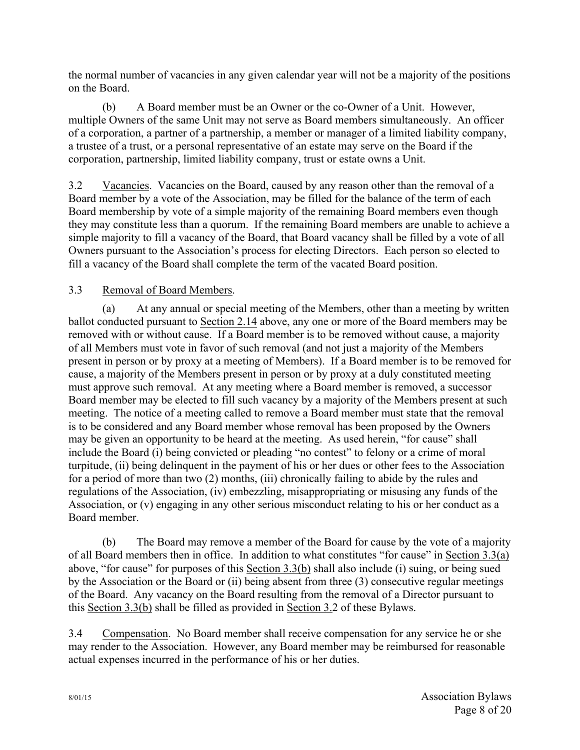the normal number of vacancies in any given calendar year will not be a majority of the positions on the Board.

(b) A Board member must be an Owner or the co-Owner of a Unit. However, multiple Owners of the same Unit may not serve as Board members simultaneously. An officer of a corporation, a partner of a partnership, a member or manager of a limited liability company, a trustee of a trust, or a personal representative of an estate may serve on the Board if the corporation, partnership, limited liability company, trust or estate owns a Unit.

3.2 Vacancies. Vacancies on the Board, caused by any reason other than the removal of a Board member by a vote of the Association, may be filled for the balance of the term of each Board membership by vote of a simple majority of the remaining Board members even though they may constitute less than a quorum. If the remaining Board members are unable to achieve a simple majority to fill a vacancy of the Board, that Board vacancy shall be filled by a vote of all Owners pursuant to the Association's process for electing Directors. Each person so elected to fill a vacancy of the Board shall complete the term of the vacated Board position.

## 3.3 Removal of Board Members.

(a) At any annual or special meeting of the Members, other than a meeting by written ballot conducted pursuant to Section 2.14 above, any one or more of the Board members may be removed with or without cause. If a Board member is to be removed without cause, a majority of all Members must vote in favor of such removal (and not just a majority of the Members present in person or by proxy at a meeting of Members). If a Board member is to be removed for cause, a majority of the Members present in person or by proxy at a duly constituted meeting must approve such removal. At any meeting where a Board member is removed, a successor Board member may be elected to fill such vacancy by a majority of the Members present at such meeting. The notice of a meeting called to remove a Board member must state that the removal is to be considered and any Board member whose removal has been proposed by the Owners may be given an opportunity to be heard at the meeting. As used herein, "for cause" shall include the Board (i) being convicted or pleading "no contest" to felony or a crime of moral turpitude, (ii) being delinquent in the payment of his or her dues or other fees to the Association for a period of more than two (2) months, (iii) chronically failing to abide by the rules and regulations of the Association, (iv) embezzling, misappropriating or misusing any funds of the Association, or (v) engaging in any other serious misconduct relating to his or her conduct as a Board member.

(b) The Board may remove a member of the Board for cause by the vote of a majority of all Board members then in office. In addition to what constitutes "for cause" in Section 3.3(a) above, "for cause" for purposes of this Section 3.3(b) shall also include (i) suing, or being sued by the Association or the Board or (ii) being absent from three (3) consecutive regular meetings of the Board. Any vacancy on the Board resulting from the removal of a Director pursuant to this Section 3.3(b) shall be filled as provided in Section 3.2 of these Bylaws.

3.4 Compensation. No Board member shall receive compensation for any service he or she may render to the Association. However, any Board member may be reimbursed for reasonable actual expenses incurred in the performance of his or her duties.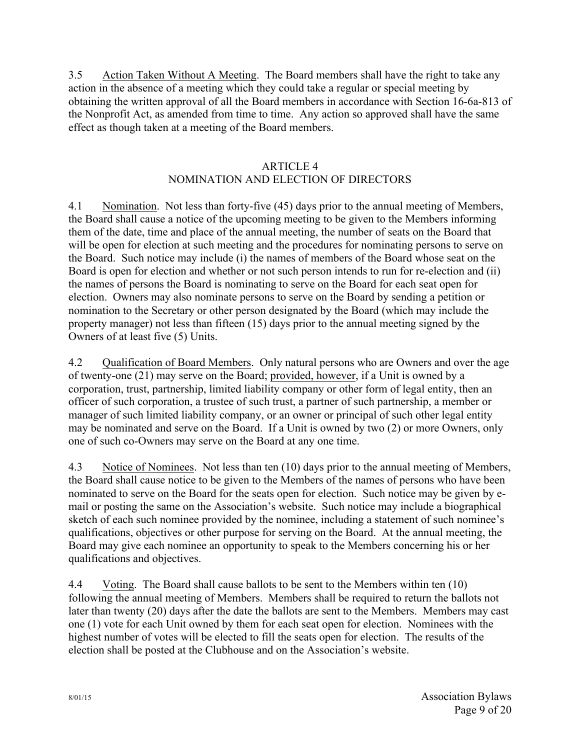3.5 Action Taken Without A Meeting. The Board members shall have the right to take any action in the absence of a meeting which they could take a regular or special meeting by obtaining the written approval of all the Board members in accordance with Section 16-6a-813 of the Nonprofit Act, as amended from time to time. Any action so approved shall have the same effect as though taken at a meeting of the Board members.

## ARTICLE 4

# NOMINATION AND ELECTION OF DIRECTORS

4.1 Nomination. Not less than forty-five (45) days prior to the annual meeting of Members, the Board shall cause a notice of the upcoming meeting to be given to the Members informing them of the date, time and place of the annual meeting, the number of seats on the Board that will be open for election at such meeting and the procedures for nominating persons to serve on the Board. Such notice may include (i) the names of members of the Board whose seat on the Board is open for election and whether or not such person intends to run for re-election and (ii) the names of persons the Board is nominating to serve on the Board for each seat open for election. Owners may also nominate persons to serve on the Board by sending a petition or nomination to the Secretary or other person designated by the Board (which may include the property manager) not less than fifteen (15) days prior to the annual meeting signed by the Owners of at least five (5) Units.

4.2 Qualification of Board Members. Only natural persons who are Owners and over the age of twenty-one (21) may serve on the Board; provided, however, if a Unit is owned by a corporation, trust, partnership, limited liability company or other form of legal entity, then an officer of such corporation, a trustee of such trust, a partner of such partnership, a member or manager of such limited liability company, or an owner or principal of such other legal entity may be nominated and serve on the Board. If a Unit is owned by two (2) or more Owners, only one of such co-Owners may serve on the Board at any one time.

4.3 Notice of Nominees. Not less than ten (10) days prior to the annual meeting of Members, the Board shall cause notice to be given to the Members of the names of persons who have been nominated to serve on the Board for the seats open for election. Such notice may be given by email or posting the same on the Association's website. Such notice may include a biographical sketch of each such nominee provided by the nominee, including a statement of such nominee's qualifications, objectives or other purpose for serving on the Board. At the annual meeting, the Board may give each nominee an opportunity to speak to the Members concerning his or her qualifications and objectives.

4.4 Voting. The Board shall cause ballots to be sent to the Members within ten (10) following the annual meeting of Members. Members shall be required to return the ballots not later than twenty (20) days after the date the ballots are sent to the Members. Members may cast one (1) vote for each Unit owned by them for each seat open for election. Nominees with the highest number of votes will be elected to fill the seats open for election. The results of the election shall be posted at the Clubhouse and on the Association's website.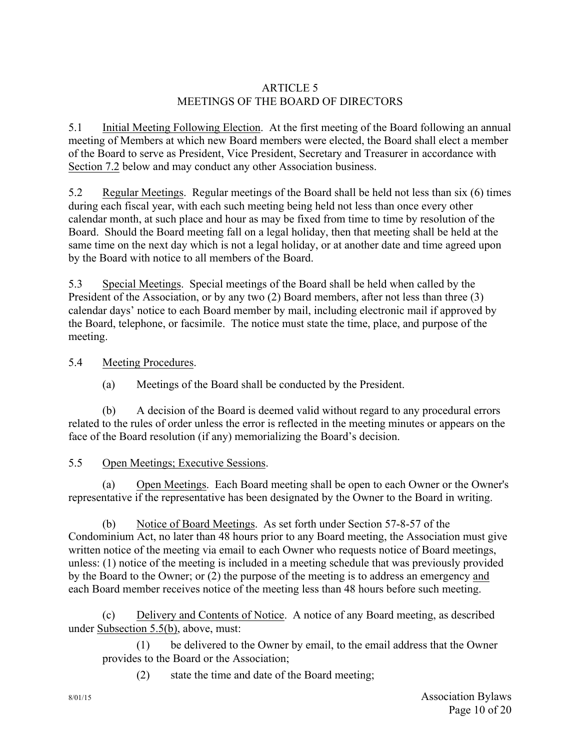## ARTICLE 5 MEETINGS OF THE BOARD OF DIRECTORS

5.1 Initial Meeting Following Election. At the first meeting of the Board following an annual meeting of Members at which new Board members were elected, the Board shall elect a member of the Board to serve as President, Vice President, Secretary and Treasurer in accordance with Section 7.2 below and may conduct any other Association business.

5.2 Regular Meetings. Regular meetings of the Board shall be held not less than six (6) times during each fiscal year, with each such meeting being held not less than once every other calendar month, at such place and hour as may be fixed from time to time by resolution of the Board. Should the Board meeting fall on a legal holiday, then that meeting shall be held at the same time on the next day which is not a legal holiday, or at another date and time agreed upon by the Board with notice to all members of the Board.

5.3 Special Meetings. Special meetings of the Board shall be held when called by the President of the Association, or by any two (2) Board members, after not less than three (3) calendar days' notice to each Board member by mail, including electronic mail if approved by the Board, telephone, or facsimile. The notice must state the time, place, and purpose of the meeting.

## 5.4 Meeting Procedures.

(a) Meetings of the Board shall be conducted by the President.

(b) A decision of the Board is deemed valid without regard to any procedural errors related to the rules of order unless the error is reflected in the meeting minutes or appears on the face of the Board resolution (if any) memorializing the Board's decision.

## 5.5 Open Meetings; Executive Sessions.

(a) Open Meetings. Each Board meeting shall be open to each Owner or the Owner's representative if the representative has been designated by the Owner to the Board in writing.

(b) Notice of Board Meetings. As set forth under Section 57-8-57 of the Condominium Act, no later than 48 hours prior to any Board meeting, the Association must give written notice of the meeting via email to each Owner who requests notice of Board meetings, unless: (1) notice of the meeting is included in a meeting schedule that was previously provided by the Board to the Owner; or (2) the purpose of the meeting is to address an emergency and each Board member receives notice of the meeting less than 48 hours before such meeting.

(c) Delivery and Contents of Notice. A notice of any Board meeting, as described under Subsection 5.5(b), above, must:

(1) be delivered to the Owner by email, to the email address that the Owner provides to the Board or the Association;

(2) state the time and date of the Board meeting;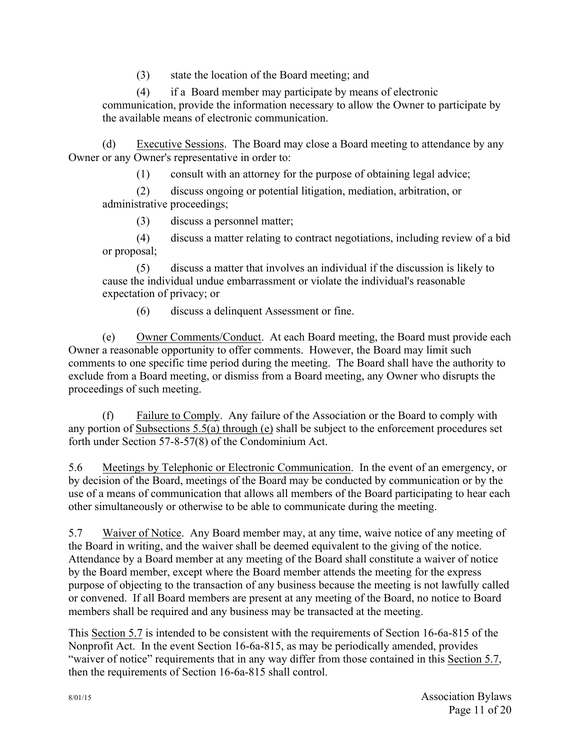(3) state the location of the Board meeting; and

(4) if a Board member may participate by means of electronic communication, provide the information necessary to allow the Owner to participate by the available means of electronic communication.

(d) Executive Sessions. The Board may close a Board meeting to attendance by any Owner or any Owner's representative in order to:

(1) consult with an attorney for the purpose of obtaining legal advice;

(2) discuss ongoing or potential litigation, mediation, arbitration, or administrative proceedings;

(3) discuss a personnel matter;

(4) discuss a matter relating to contract negotiations, including review of a bid or proposal;

(5) discuss a matter that involves an individual if the discussion is likely to cause the individual undue embarrassment or violate the individual's reasonable expectation of privacy; or

(6) discuss a delinquent Assessment or fine.

(e) Owner Comments/Conduct. At each Board meeting, the Board must provide each Owner a reasonable opportunity to offer comments. However, the Board may limit such comments to one specific time period during the meeting. The Board shall have the authority to exclude from a Board meeting, or dismiss from a Board meeting, any Owner who disrupts the proceedings of such meeting.

(f) Failure to Comply. Any failure of the Association or the Board to comply with any portion of Subsections 5.5(a) through (e) shall be subject to the enforcement procedures set forth under Section 57-8-57(8) of the Condominium Act.

5.6 Meetings by Telephonic or Electronic Communication. In the event of an emergency, or by decision of the Board, meetings of the Board may be conducted by communication or by the use of a means of communication that allows all members of the Board participating to hear each other simultaneously or otherwise to be able to communicate during the meeting.

5.7 Waiver of Notice. Any Board member may, at any time, waive notice of any meeting of the Board in writing, and the waiver shall be deemed equivalent to the giving of the notice. Attendance by a Board member at any meeting of the Board shall constitute a waiver of notice by the Board member, except where the Board member attends the meeting for the express purpose of objecting to the transaction of any business because the meeting is not lawfully called or convened. If all Board members are present at any meeting of the Board, no notice to Board members shall be required and any business may be transacted at the meeting.

This Section 5.7 is intended to be consistent with the requirements of Section 16-6a-815 of the Nonprofit Act. In the event Section 16-6a-815, as may be periodically amended, provides "waiver of notice" requirements that in any way differ from those contained in this Section 5.7, then the requirements of Section 16-6a-815 shall control.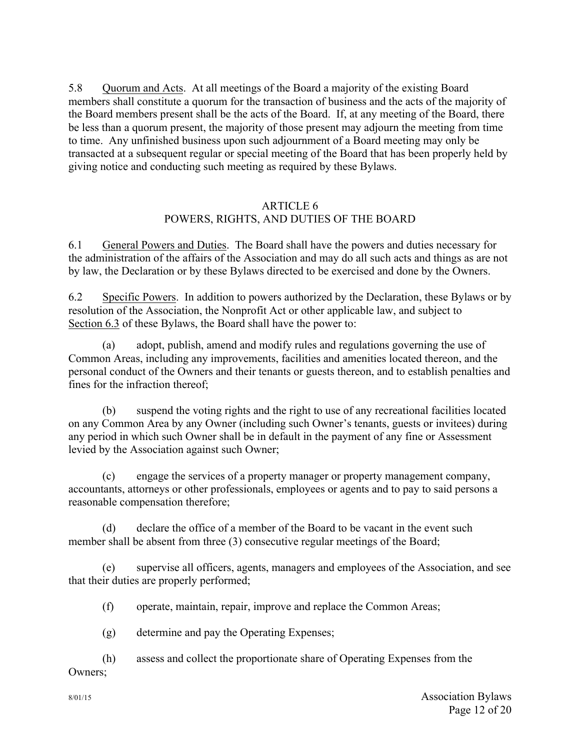5.8 Quorum and Acts. At all meetings of the Board a majority of the existing Board members shall constitute a quorum for the transaction of business and the acts of the majority of the Board members present shall be the acts of the Board. If, at any meeting of the Board, there be less than a quorum present, the majority of those present may adjourn the meeting from time to time. Any unfinished business upon such adjournment of a Board meeting may only be transacted at a subsequent regular or special meeting of the Board that has been properly held by giving notice and conducting such meeting as required by these Bylaws.

## ARTICLE 6 POWERS, RIGHTS, AND DUTIES OF THE BOARD

6.1 General Powers and Duties. The Board shall have the powers and duties necessary for the administration of the affairs of the Association and may do all such acts and things as are not by law, the Declaration or by these Bylaws directed to be exercised and done by the Owners.

6.2 Specific Powers. In addition to powers authorized by the Declaration, these Bylaws or by resolution of the Association, the Nonprofit Act or other applicable law, and subject to Section 6.3 of these Bylaws, the Board shall have the power to:

(a) adopt, publish, amend and modify rules and regulations governing the use of Common Areas, including any improvements, facilities and amenities located thereon, and the personal conduct of the Owners and their tenants or guests thereon, and to establish penalties and fines for the infraction thereof;

(b) suspend the voting rights and the right to use of any recreational facilities located on any Common Area by any Owner (including such Owner's tenants, guests or invitees) during any period in which such Owner shall be in default in the payment of any fine or Assessment levied by the Association against such Owner;

(c) engage the services of a property manager or property management company, accountants, attorneys or other professionals, employees or agents and to pay to said persons a reasonable compensation therefore;

(d) declare the office of a member of the Board to be vacant in the event such member shall be absent from three (3) consecutive regular meetings of the Board;

(e) supervise all officers, agents, managers and employees of the Association, and see that their duties are properly performed;

(f) operate, maintain, repair, improve and replace the Common Areas;

(g) determine and pay the Operating Expenses;

(h) assess and collect the proportionate share of Operating Expenses from the Owners;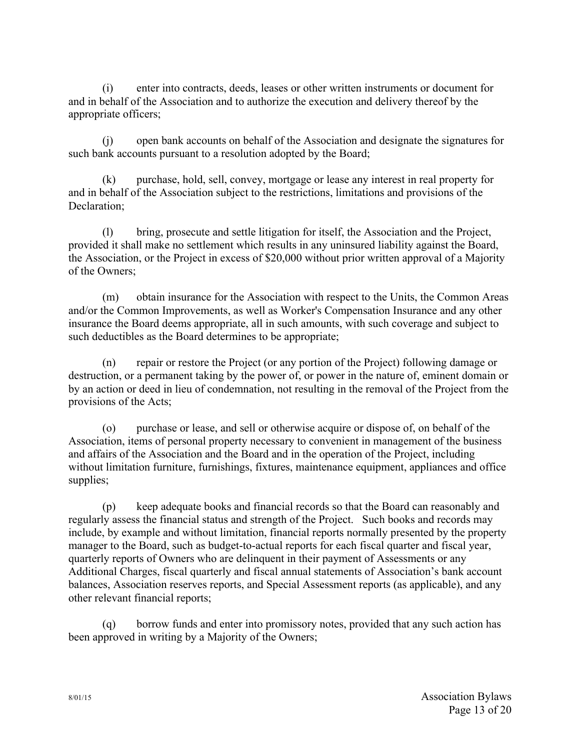(i) enter into contracts, deeds, leases or other written instruments or document for and in behalf of the Association and to authorize the execution and delivery thereof by the appropriate officers;

(j) open bank accounts on behalf of the Association and designate the signatures for such bank accounts pursuant to a resolution adopted by the Board;

(k) purchase, hold, sell, convey, mortgage or lease any interest in real property for and in behalf of the Association subject to the restrictions, limitations and provisions of the Declaration;

(l) bring, prosecute and settle litigation for itself, the Association and the Project, provided it shall make no settlement which results in any uninsured liability against the Board, the Association, or the Project in excess of \$20,000 without prior written approval of a Majority of the Owners;

(m) obtain insurance for the Association with respect to the Units, the Common Areas and/or the Common Improvements, as well as Worker's Compensation Insurance and any other insurance the Board deems appropriate, all in such amounts, with such coverage and subject to such deductibles as the Board determines to be appropriate;

(n) repair or restore the Project (or any portion of the Project) following damage or destruction, or a permanent taking by the power of, or power in the nature of, eminent domain or by an action or deed in lieu of condemnation, not resulting in the removal of the Project from the provisions of the Acts;

(o) purchase or lease, and sell or otherwise acquire or dispose of, on behalf of the Association, items of personal property necessary to convenient in management of the business and affairs of the Association and the Board and in the operation of the Project, including without limitation furniture, furnishings, fixtures, maintenance equipment, appliances and office supplies;

(p) keep adequate books and financial records so that the Board can reasonably and regularly assess the financial status and strength of the Project. Such books and records may include, by example and without limitation, financial reports normally presented by the property manager to the Board, such as budget-to-actual reports for each fiscal quarter and fiscal year, quarterly reports of Owners who are delinquent in their payment of Assessments or any Additional Charges, fiscal quarterly and fiscal annual statements of Association's bank account balances, Association reserves reports, and Special Assessment reports (as applicable), and any other relevant financial reports;

(q) borrow funds and enter into promissory notes, provided that any such action has been approved in writing by a Majority of the Owners;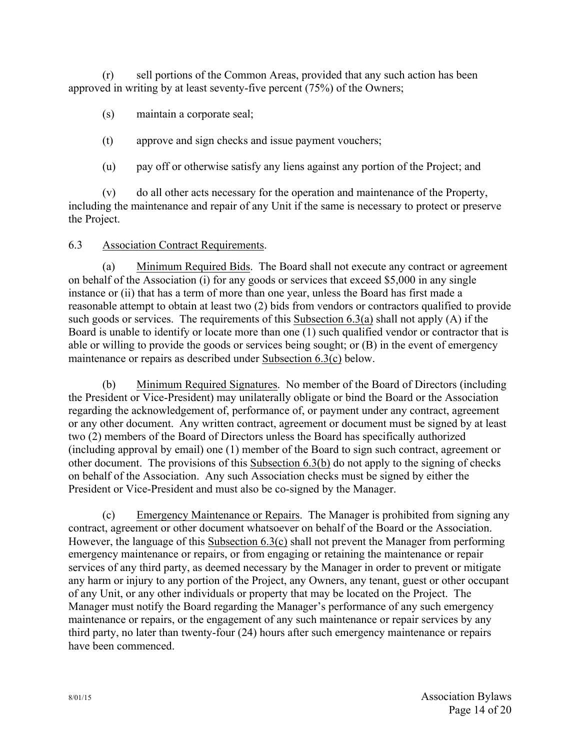(r) sell portions of the Common Areas, provided that any such action has been approved in writing by at least seventy-five percent (75%) of the Owners;

(s) maintain a corporate seal;

(t) approve and sign checks and issue payment vouchers;

(u) pay off or otherwise satisfy any liens against any portion of the Project; and

(v) do all other acts necessary for the operation and maintenance of the Property, including the maintenance and repair of any Unit if the same is necessary to protect or preserve the Project.

## 6.3 Association Contract Requirements.

(a) Minimum Required Bids. The Board shall not execute any contract or agreement on behalf of the Association (i) for any goods or services that exceed \$5,000 in any single instance or (ii) that has a term of more than one year, unless the Board has first made a reasonable attempt to obtain at least two (2) bids from vendors or contractors qualified to provide such goods or services. The requirements of this Subsection 6.3(a) shall not apply (A) if the Board is unable to identify or locate more than one (1) such qualified vendor or contractor that is able or willing to provide the goods or services being sought; or (B) in the event of emergency maintenance or repairs as described under Subsection 6.3(c) below.

(b) Minimum Required Signatures. No member of the Board of Directors (including the President or Vice-President) may unilaterally obligate or bind the Board or the Association regarding the acknowledgement of, performance of, or payment under any contract, agreement or any other document. Any written contract, agreement or document must be signed by at least two (2) members of the Board of Directors unless the Board has specifically authorized (including approval by email) one (1) member of the Board to sign such contract, agreement or other document. The provisions of this Subsection 6.3(b) do not apply to the signing of checks on behalf of the Association. Any such Association checks must be signed by either the President or Vice-President and must also be co-signed by the Manager.

(c) Emergency Maintenance or Repairs. The Manager is prohibited from signing any contract, agreement or other document whatsoever on behalf of the Board or the Association. However, the language of this Subsection 6.3(c) shall not prevent the Manager from performing emergency maintenance or repairs, or from engaging or retaining the maintenance or repair services of any third party, as deemed necessary by the Manager in order to prevent or mitigate any harm or injury to any portion of the Project, any Owners, any tenant, guest or other occupant of any Unit, or any other individuals or property that may be located on the Project. The Manager must notify the Board regarding the Manager's performance of any such emergency maintenance or repairs, or the engagement of any such maintenance or repair services by any third party, no later than twenty-four (24) hours after such emergency maintenance or repairs have been commenced.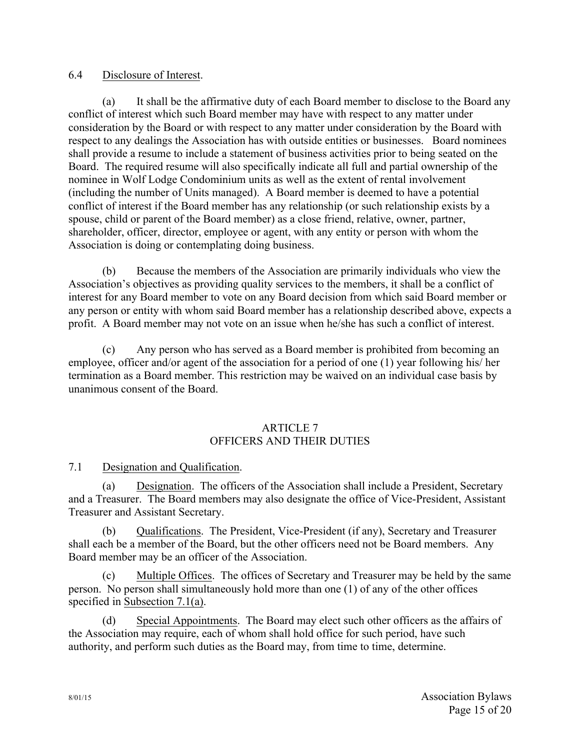### 6.4 Disclosure of Interest.

(a) It shall be the affirmative duty of each Board member to disclose to the Board any conflict of interest which such Board member may have with respect to any matter under consideration by the Board or with respect to any matter under consideration by the Board with respect to any dealings the Association has with outside entities or businesses. Board nominees shall provide a resume to include a statement of business activities prior to being seated on the Board. The required resume will also specifically indicate all full and partial ownership of the nominee in Wolf Lodge Condominium units as well as the extent of rental involvement (including the number of Units managed). A Board member is deemed to have a potential conflict of interest if the Board member has any relationship (or such relationship exists by a spouse, child or parent of the Board member) as a close friend, relative, owner, partner, shareholder, officer, director, employee or agent, with any entity or person with whom the Association is doing or contemplating doing business.

(b) Because the members of the Association are primarily individuals who view the Association's objectives as providing quality services to the members, it shall be a conflict of interest for any Board member to vote on any Board decision from which said Board member or any person or entity with whom said Board member has a relationship described above, expects a profit. A Board member may not vote on an issue when he/she has such a conflict of interest.

(c) Any person who has served as a Board member is prohibited from becoming an employee, officer and/or agent of the association for a period of one (1) year following his/ her termination as a Board member. This restriction may be waived on an individual case basis by unanimous consent of the Board.

### ARTICLE 7 OFFICERS AND THEIR DUTIES

7.1 Designation and Qualification.

(a) Designation. The officers of the Association shall include a President, Secretary and a Treasurer. The Board members may also designate the office of Vice-President, Assistant Treasurer and Assistant Secretary.

(b) Qualifications. The President, Vice-President (if any), Secretary and Treasurer shall each be a member of the Board, but the other officers need not be Board members. Any Board member may be an officer of the Association.

(c) Multiple Offices. The offices of Secretary and Treasurer may be held by the same person. No person shall simultaneously hold more than one (1) of any of the other offices specified in Subsection 7.1(a).

(d) Special Appointments. The Board may elect such other officers as the affairs of the Association may require, each of whom shall hold office for such period, have such authority, and perform such duties as the Board may, from time to time, determine.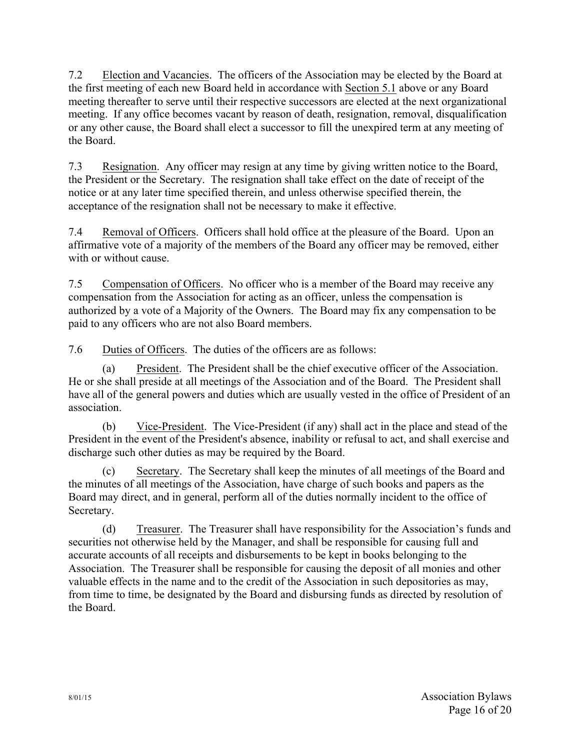7.2 Election and Vacancies. The officers of the Association may be elected by the Board at the first meeting of each new Board held in accordance with Section 5.1 above or any Board meeting thereafter to serve until their respective successors are elected at the next organizational meeting. If any office becomes vacant by reason of death, resignation, removal, disqualification or any other cause, the Board shall elect a successor to fill the unexpired term at any meeting of the Board.

7.3 Resignation. Any officer may resign at any time by giving written notice to the Board, the President or the Secretary. The resignation shall take effect on the date of receipt of the notice or at any later time specified therein, and unless otherwise specified therein, the acceptance of the resignation shall not be necessary to make it effective.

7.4 Removal of Officers. Officers shall hold office at the pleasure of the Board. Upon an affirmative vote of a majority of the members of the Board any officer may be removed, either with or without cause.

7.5 Compensation of Officers. No officer who is a member of the Board may receive any compensation from the Association for acting as an officer, unless the compensation is authorized by a vote of a Majority of the Owners. The Board may fix any compensation to be paid to any officers who are not also Board members.

7.6 Duties of Officers. The duties of the officers are as follows:

(a) President. The President shall be the chief executive officer of the Association. He or she shall preside at all meetings of the Association and of the Board. The President shall have all of the general powers and duties which are usually vested in the office of President of an association.

(b) Vice-President. The Vice-President (if any) shall act in the place and stead of the President in the event of the President's absence, inability or refusal to act, and shall exercise and discharge such other duties as may be required by the Board.

(c) Secretary. The Secretary shall keep the minutes of all meetings of the Board and the minutes of all meetings of the Association, have charge of such books and papers as the Board may direct, and in general, perform all of the duties normally incident to the office of Secretary.

(d) Treasurer. The Treasurer shall have responsibility for the Association's funds and securities not otherwise held by the Manager, and shall be responsible for causing full and accurate accounts of all receipts and disbursements to be kept in books belonging to the Association. The Treasurer shall be responsible for causing the deposit of all monies and other valuable effects in the name and to the credit of the Association in such depositories as may, from time to time, be designated by the Board and disbursing funds as directed by resolution of the Board.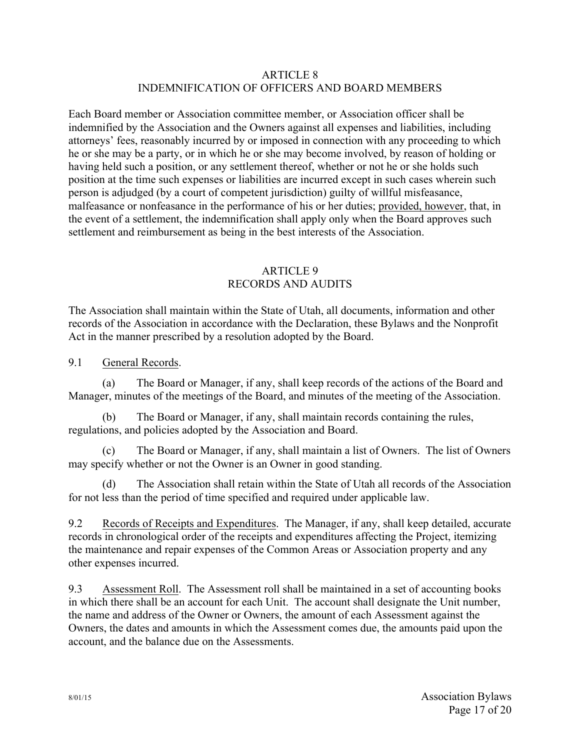#### ARTICLE 8 INDEMNIFICATION OF OFFICERS AND BOARD MEMBERS

Each Board member or Association committee member, or Association officer shall be indemnified by the Association and the Owners against all expenses and liabilities, including attorneys' fees, reasonably incurred by or imposed in connection with any proceeding to which he or she may be a party, or in which he or she may become involved, by reason of holding or having held such a position, or any settlement thereof, whether or not he or she holds such position at the time such expenses or liabilities are incurred except in such cases wherein such person is adjudged (by a court of competent jurisdiction) guilty of willful misfeasance, malfeasance or nonfeasance in the performance of his or her duties; provided, however, that, in the event of a settlement, the indemnification shall apply only when the Board approves such settlement and reimbursement as being in the best interests of the Association.

## ARTICLE 9 RECORDS AND AUDITS

The Association shall maintain within the State of Utah, all documents, information and other records of the Association in accordance with the Declaration, these Bylaws and the Nonprofit Act in the manner prescribed by a resolution adopted by the Board.

9.1 General Records.

(a) The Board or Manager, if any, shall keep records of the actions of the Board and Manager, minutes of the meetings of the Board, and minutes of the meeting of the Association.

(b) The Board or Manager, if any, shall maintain records containing the rules, regulations, and policies adopted by the Association and Board.

(c) The Board or Manager, if any, shall maintain a list of Owners. The list of Owners may specify whether or not the Owner is an Owner in good standing.

(d) The Association shall retain within the State of Utah all records of the Association for not less than the period of time specified and required under applicable law.

9.2 Records of Receipts and Expenditures. The Manager, if any, shall keep detailed, accurate records in chronological order of the receipts and expenditures affecting the Project, itemizing the maintenance and repair expenses of the Common Areas or Association property and any other expenses incurred.

9.3 Assessment Roll. The Assessment roll shall be maintained in a set of accounting books in which there shall be an account for each Unit. The account shall designate the Unit number, the name and address of the Owner or Owners, the amount of each Assessment against the Owners, the dates and amounts in which the Assessment comes due, the amounts paid upon the account, and the balance due on the Assessments.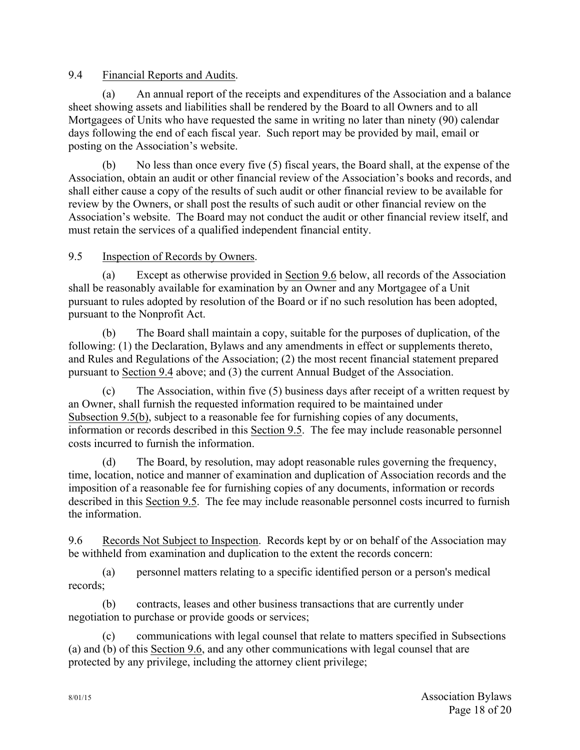## 9.4 Financial Reports and Audits.

(a) An annual report of the receipts and expenditures of the Association and a balance sheet showing assets and liabilities shall be rendered by the Board to all Owners and to all Mortgagees of Units who have requested the same in writing no later than ninety (90) calendar days following the end of each fiscal year. Such report may be provided by mail, email or posting on the Association's website.

(b) No less than once every five (5) fiscal years, the Board shall, at the expense of the Association, obtain an audit or other financial review of the Association's books and records, and shall either cause a copy of the results of such audit or other financial review to be available for review by the Owners, or shall post the results of such audit or other financial review on the Association's website. The Board may not conduct the audit or other financial review itself, and must retain the services of a qualified independent financial entity.

## 9.5 Inspection of Records by Owners.

(a) Except as otherwise provided in Section 9.6 below, all records of the Association shall be reasonably available for examination by an Owner and any Mortgagee of a Unit pursuant to rules adopted by resolution of the Board or if no such resolution has been adopted, pursuant to the Nonprofit Act.

(b) The Board shall maintain a copy, suitable for the purposes of duplication, of the following: (1) the Declaration, Bylaws and any amendments in effect or supplements thereto, and Rules and Regulations of the Association; (2) the most recent financial statement prepared pursuant to Section 9.4 above; and (3) the current Annual Budget of the Association.

(c) The Association, within five (5) business days after receipt of a written request by an Owner, shall furnish the requested information required to be maintained under Subsection 9.5(b), subject to a reasonable fee for furnishing copies of any documents, information or records described in this Section 9.5. The fee may include reasonable personnel costs incurred to furnish the information.

(d) The Board, by resolution, may adopt reasonable rules governing the frequency, time, location, notice and manner of examination and duplication of Association records and the imposition of a reasonable fee for furnishing copies of any documents, information or records described in this Section 9.5. The fee may include reasonable personnel costs incurred to furnish the information.

9.6 Records Not Subject to Inspection. Records kept by or on behalf of the Association may be withheld from examination and duplication to the extent the records concern:

(a) personnel matters relating to a specific identified person or a person's medical records;

(b) contracts, leases and other business transactions that are currently under negotiation to purchase or provide goods or services;

(c) communications with legal counsel that relate to matters specified in Subsections (a) and (b) of this Section 9.6, and any other communications with legal counsel that are protected by any privilege, including the attorney client privilege;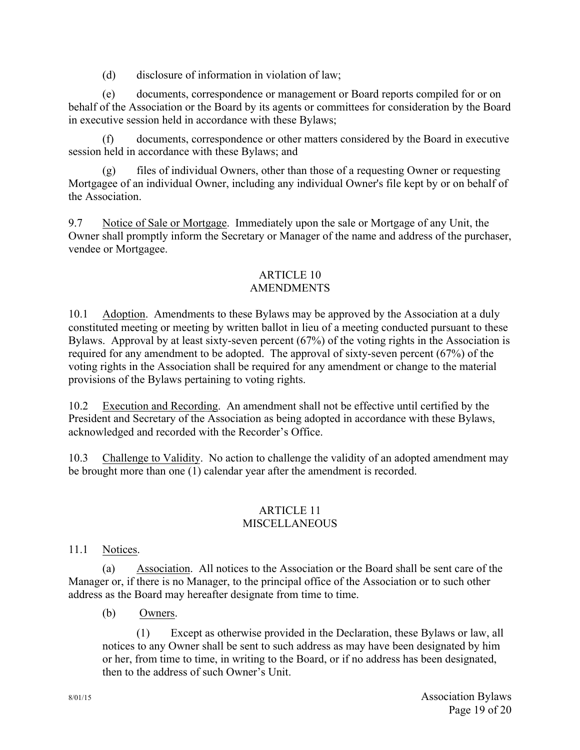(d) disclosure of information in violation of law;

(e) documents, correspondence or management or Board reports compiled for or on behalf of the Association or the Board by its agents or committees for consideration by the Board in executive session held in accordance with these Bylaws;

(f) documents, correspondence or other matters considered by the Board in executive session held in accordance with these Bylaws; and

(g) files of individual Owners, other than those of a requesting Owner or requesting Mortgagee of an individual Owner, including any individual Owner's file kept by or on behalf of the Association.

9.7 Notice of Sale or Mortgage. Immediately upon the sale or Mortgage of any Unit, the Owner shall promptly inform the Secretary or Manager of the name and address of the purchaser, vendee or Mortgagee.

#### ARTICLE 10 AMENDMENTS

10.1 Adoption. Amendments to these Bylaws may be approved by the Association at a duly constituted meeting or meeting by written ballot in lieu of a meeting conducted pursuant to these Bylaws. Approval by at least sixty-seven percent (67%) of the voting rights in the Association is required for any amendment to be adopted. The approval of sixty-seven percent (67%) of the voting rights in the Association shall be required for any amendment or change to the material provisions of the Bylaws pertaining to voting rights.

10.2 Execution and Recording. An amendment shall not be effective until certified by the President and Secretary of the Association as being adopted in accordance with these Bylaws, acknowledged and recorded with the Recorder's Office.

10.3 Challenge to Validity. No action to challenge the validity of an adopted amendment may be brought more than one (1) calendar year after the amendment is recorded.

## ARTICLE 11 **MISCELLANEOUS**

## 11.1 Notices.

(a) Association. All notices to the Association or the Board shall be sent care of the Manager or, if there is no Manager, to the principal office of the Association or to such other address as the Board may hereafter designate from time to time.

(b) Owners.

(1) Except as otherwise provided in the Declaration, these Bylaws or law, all notices to any Owner shall be sent to such address as may have been designated by him or her, from time to time, in writing to the Board, or if no address has been designated, then to the address of such Owner's Unit.